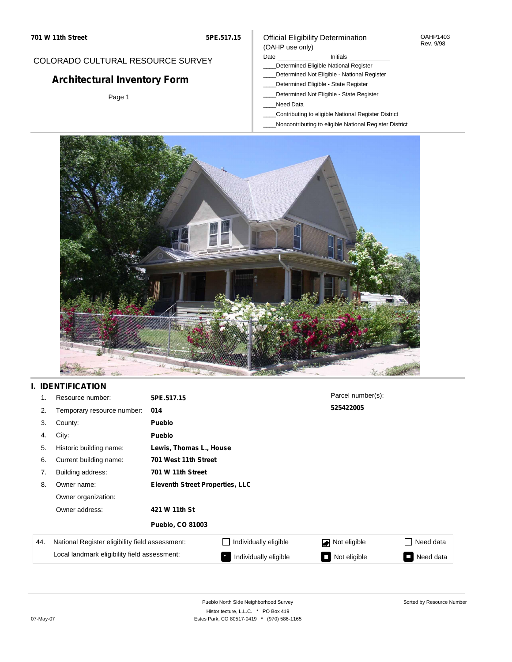#### OAHP1403 Rev. 9/98

## COLORADO CULTURAL RESOURCE SURVEY

# **Architectural Inventory Form**

Page 1

# (OAHP use only)

Official Eligibility Determination

## Date **Initials** Initials

- \_\_\_\_Determined Eligible-National Register \_\_\_\_Determined Not Eligible - National Register
- \_\_\_\_Determined Eligible State Register
- \_\_\_\_Determined Not Eligible State Register
- \_\_\_\_Need Data
- \_\_\_\_Contributing to eligible National Register District
- \_\_\_\_Noncontributing to eligible National Register District



## **I. IDENTIFICATION**

| 1.  | Resource number:                                | 5PE.517.15                             |                         | Parcel number(s): |                     |  |
|-----|-------------------------------------------------|----------------------------------------|-------------------------|-------------------|---------------------|--|
| 2.  | Temporary resource number:                      | 014                                    |                         | 525422005         |                     |  |
| 3.  | County:                                         | <b>Pueblo</b>                          |                         |                   |                     |  |
| 4.  | City:                                           | Pueblo                                 |                         |                   |                     |  |
| 5.  | Historic building name:                         |                                        | Lewis, Thomas L., House |                   |                     |  |
| 6.  | Current building name:                          | 701 West 11th Street                   |                         |                   |                     |  |
| 7.  | Building address:                               | 701 W 11th Street                      |                         |                   |                     |  |
| 8.  | Owner name:                                     | <b>Eleventh Street Properties, LLC</b> |                         |                   |                     |  |
|     | Owner organization:                             |                                        |                         |                   |                     |  |
|     | Owner address:                                  | 421 W 11th St                          |                         |                   |                     |  |
|     |                                                 | <b>Pueblo, CO 81003</b>                |                         |                   |                     |  |
| 44. | National Register eligibility field assessment: |                                        | Individually eligible   | Not eligible<br>◪ | Need data           |  |
|     | Local landmark eligibility field assessment:    |                                        | Individually eligible   | Not eligible      | Need data<br>$\sim$ |  |

Sorted by Resource Number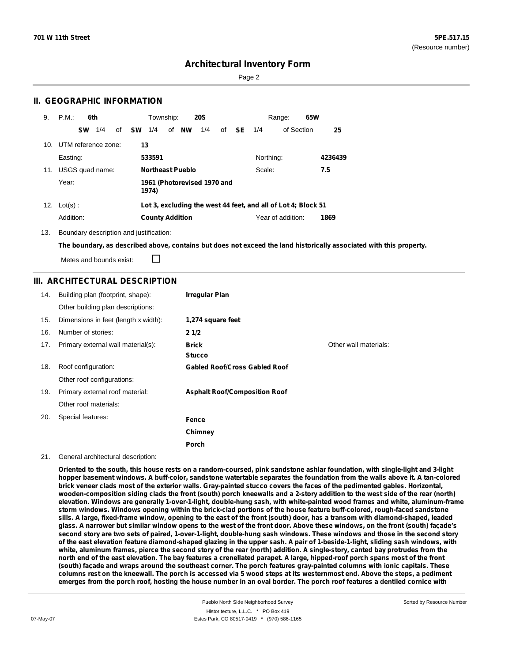Sorted by Resource Number

## **Architectural Inventory Form**

Page 2

## **II. GEOGRAPHIC INFORMATION**

| 9.              | P.M.<br>6th            | Township:<br><b>20S</b>                                       | 65W<br>Range:                   |
|-----------------|------------------------|---------------------------------------------------------------|---------------------------------|
|                 | 1/4<br><b>SW</b><br>οf | <b>SW</b><br><b>NW</b><br>1/4<br>1/4<br>of<br>of              | - SE<br>of Section<br>25<br>1/4 |
| 10 <sub>1</sub> | UTM reference zone:    | 13                                                            |                                 |
|                 | Easting:               | 533591                                                        | Northing:<br>4236439            |
| 11.             | USGS quad name:        | <b>Northeast Pueblo</b>                                       | Scale:<br>7.5                   |
|                 | Year:                  | 1961 (Photorevised 1970 and<br>1974)                          |                                 |
| 12.             | $Lot(s)$ :             | Lot 3, excluding the west 44 feet, and all of Lot 4; Block 51 |                                 |
|                 | Addition:              | <b>County Addition</b>                                        | Year of addition:<br>1869       |

13. Boundary description and justification:

The boundary, as described above, contains but does not exceed the land historically associated with this property.

Metes and bounds exist:

П

## **III. ARCHITECTURAL DESCRIPTION**

| 14. | Building plan (footprint, shape):    | Irregular Plan                       |                       |
|-----|--------------------------------------|--------------------------------------|-----------------------|
|     | Other building plan descriptions:    |                                      |                       |
| 15. | Dimensions in feet (length x width): | 1,274 square feet                    |                       |
| 16. | Number of stories:                   | 21/2                                 |                       |
| 17. | Primary external wall material(s):   | <b>Brick</b>                         | Other wall materials: |
|     |                                      | <b>Stucco</b>                        |                       |
| 18. | Roof configuration:                  | <b>Gabled Roof/Cross Gabled Roof</b> |                       |
|     | Other roof configurations:           |                                      |                       |
| 19. | Primary external roof material:      | <b>Asphalt Roof/Composition Roof</b> |                       |
|     | Other roof materials:                |                                      |                       |
| 20. | Special features:                    | Fence                                |                       |
|     |                                      | Chimney                              |                       |
|     |                                      | Porch                                |                       |

#### 21. General architectural description:

Oriented to the south, this house rests on a random-coursed, pink sandstone ashlar foundation, with single-light and 3-light hopper basement windows. A buff-color, sandstone watertable separates the foundation from the walls above it. A tan-colored brick veneer clads most of the exterior walls. Gray-painted stucco covers the faces of the pedimented gables. Horizontal, wooden-composition siding clads the front (south) porch kneewalls and a 2-story addition to the west side of the rear (north) **elevation. Windows are generally 1-over-1-light, double-hung sash, with white-painted wood frames and white, aluminum-frame storm windows. Windows opening within the brick-clad portions of the house feature buff-colored, rough-faced sandstone** sills. A large, fixed-frame window, opening to the east of the front (south) door, has a transom with diamond-shaped, leaded glass. A narrower but similar window opens to the west of the front door. Above these windows, on the front (south) facade's second story are two sets of paired, 1-over-1-light, double-hung sash windows. These windows and those in the second story of the east elevation feature diamond-shaped glazing in the upper sash. A pair of 1-beside-1-light, sliding sash windows, with white, aluminum frames, pierce the second story of the rear (north) addition. A single-story, canted bay protrudes from the north end of the east elevation. The bay features a crenellated parapet. A large, hipped-roof porch spans most of the front (south) façade and wraps around the southeast corner. The porch features gray-painted columns with ionic capitals. These columns rest on the kneewall. The porch is accessed via 5 wood steps at its westernmost end. Above the steps, a pediment emerges from the porch roof, hosting the house number in an oval border. The porch roof features a dentiled cornice with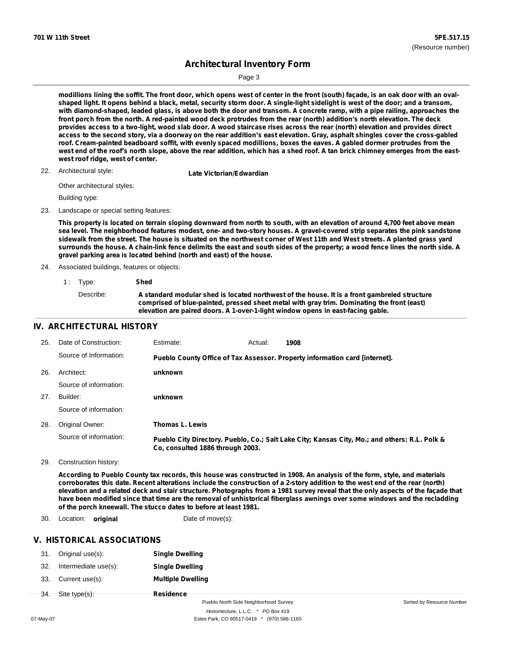Page 3

modillions lining the soffit. The front door, which opens west of center in the front (south) façade, is an oak door with an ovalshaped light. It opens behind a black, metal, security storm door. A single-light sidelight is west of the door; and a transom, with diamond-shaped, leaded glass, is above both the door and transom. A concrete ramp, with a pipe railing, approaches the front porch from the north. A red-painted wood deck protrudes from the rear (north) addition's north elevation. The deck provides access to a two-light, wood slab door. A wood staircase rises across the rear (north) elevation and provides direct access to the second story, via a doorway on the rear addition's east elevation. Gray, asphalt shingles cover the cross-gabled roof. Cream-painted beadboard soffit, with evenly spaced modillions, boxes the eaves. A gabled dormer protrudes from the west end of the roof's north slope, above the rear addition, which has a shed roof. A tan brick chimney emerges from the east**west roof ridge, west of center.**

22. Architectural style:

**Late Victorian/Edwardian** 

Other architectural styles:

Building type:

23. Landscape or special setting features:

This property is located on terrain sloping downward from north to south, with an elevation of around 4,700 feet above mean sea level. The neighborhood features modest, one- and two-story houses. A gravel-covered strip separates the pink sandstone sidewalk from the street. The house is situated on the northwest corner of West 11th and West streets. A planted grass yard surrounds the house. A chain-link fence delimits the east and south sides of the property; a wood fence lines the north side. A **gravel parking area is located behind (north and east) of the house.**

24. Associated buildings, features or objects:

| 1. Type:  | Shed                                                                                                                                                                                                                                                                          |
|-----------|-------------------------------------------------------------------------------------------------------------------------------------------------------------------------------------------------------------------------------------------------------------------------------|
| Describe: | A standard modular shed is located northwest of the house. It is a front gambreled structure<br>comprised of blue-painted, pressed sheet metal with gray trim. Dominating the front (east)<br>elevation are paired doors. A 1-over-1-light window opens in east-facing gable. |

## **IV. ARCHITECTURAL HISTORY**

| 25. | Date of Construction:  | Estimate:                        | Actual: | 1908                                                                                          |
|-----|------------------------|----------------------------------|---------|-----------------------------------------------------------------------------------------------|
|     | Source of Information: |                                  |         | Pueblo County Office of Tax Assessor. Property information card [internet].                   |
| 26. | Architect:             | unknown                          |         |                                                                                               |
|     | Source of information: |                                  |         |                                                                                               |
| 27. | Builder:               | unknown                          |         |                                                                                               |
|     | Source of information: |                                  |         |                                                                                               |
| 28. | Original Owner:        | Thomas L. Lewis                  |         |                                                                                               |
|     | Source of information: | Co. consulted 1886 through 2003. |         | Pueblo City Directory. Pueblo, Co.; Salt Lake City; Kansas City, Mo.; and others: R.L. Polk & |

29. Construction history:

According to Pueblo County tax records, this house was constructed in 1908. An analysis of the form, style, and materials corroborates this date. Recent alterations include the construction of a 2-story addition to the west end of the rear (north) elevation and a related deck and stair structure. Photographs from a 1981 survey reveal that the only aspects of the façade that have been modified since that time are the removal of unhistorical fiberglass awnings over some windows and the recladding **of the porch kneewall. The stucco dates to before at least 1981.**

30. Location: **original Date of move(s):** 

### **V. HISTORICAL ASSOCIATIONS**

| 31.    | Original use(s):     | <b>Single Dwelling</b>                |                          |
|--------|----------------------|---------------------------------------|--------------------------|
| 32.    | Intermediate use(s): | <b>Single Dwelling</b>                |                          |
| 33.    | Current use(s):      | <b>Multiple Dwelling</b>              |                          |
| $-34.$ | Site type(s):        | Residence                             |                          |
|        |                      | Pueblo North Side Neighborhood Survey | Sorted by Resource Numbe |

Historitecture, L.L.C. \* PO Box 419 07-May-07 **Estes Park, CO 80517-0419** \* (970) 586-1165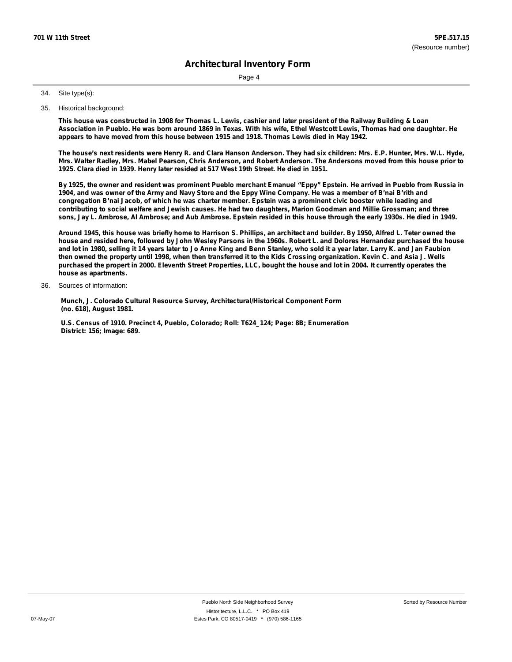Page 4

#### Site type(s): 34.

35. Historical background:

This house was constructed in 1908 for Thomas L. Lewis, cashier and later president of the Railway Building & Loan Association in Pueblo. He was born around 1869 in Texas. With his wife, Ethel Westcott Lewis, Thomas had one daughter. He **appears to have moved from this house between 1915 and 1918. Thomas Lewis died in May 1942.**

The house's next residents were Henry R. and Clara Hanson Anderson. They had six children: Mrs. E.P. Hunter, Mrs. W.L. Hyde, Mrs. Walter Radley, Mrs. Mabel Pearson, Chris Anderson, and Robert Anderson. The Andersons moved from this house prior to **1925. Clara died in 1939. Henry later resided at 517 West 19th Street. He died in 1951.**

By 1925, the owner and resident was prominent Pueblo merchant Emanuel "Eppy" Epstein. He arrived in Pueblo from Russia in 1904, and was owner of the Army and Navy Store and the Eppy Wine Company. He was a member of B'nai B'rith and congregation B'nai Jacob, of which he was charter member. Epstein was a prominent civic booster while leading and contributing to social welfare and Jewish causes. He had two daughters, Marion Goodman and Millie Grossman; and three sons, Jay L. Ambrose, Al Ambrose; and Aub Ambrose. Epstein resided in this house through the early 1930s. He died in 1949.

Around 1945, this house was briefly home to Harrison S. Phillips, an architect and builder. By 1950, Alfred L. Teter owned the house and resided here, followed by John Wesley Parsons in the 1960s. Robert L. and Dolores Hernandez purchased the house and lot in 1980, selling it 14 years later to Jo Anne King and Benn Stanley, who sold it a year later. Larry K. and Jan Faubion then owned the property until 1998, when then transferred it to the Kids Crossing organization. Kevin C. and Asia J. Wells purchased the propert in 2000. Eleventh Street Properties, LLC, bought the house and lot in 2004. It currently operates the **house as apartments.**

Sources of information: 36.

> **Munch, J. Colorado Cultural Resource Survey, Architectural/Historical Component Form (no. 618), August 1981.**

**U.S. Census of 1910. Precinct 4, Pueblo, Colorado; Roll: T624\_124; Page: 8B; Enumeration District: 156; Image: 689.**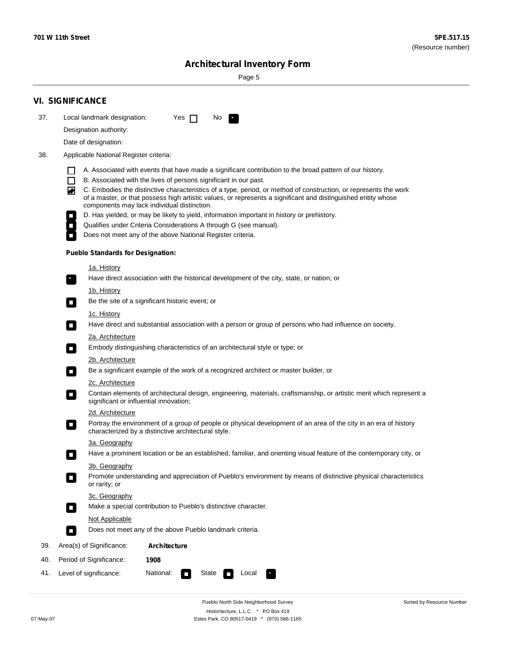Sorted by Resource Number

# **Architectural Inventory Form**

Page 5

|     | <b>VI. SIGNIFICANCE</b>                                                                                                                                                                                                                                                               |  |  |  |
|-----|---------------------------------------------------------------------------------------------------------------------------------------------------------------------------------------------------------------------------------------------------------------------------------------|--|--|--|
| 37. | Local landmark designation:<br>No<br>Yes $\Box$                                                                                                                                                                                                                                       |  |  |  |
|     | Designation authority:                                                                                                                                                                                                                                                                |  |  |  |
|     | Date of designation:                                                                                                                                                                                                                                                                  |  |  |  |
| 38. | Applicable National Register criteria:                                                                                                                                                                                                                                                |  |  |  |
|     | A. Associated with events that have made a significant contribution to the broad pattern of our history.                                                                                                                                                                              |  |  |  |
|     | B. Associated with the lives of persons significant in our past.<br>$\Box$                                                                                                                                                                                                            |  |  |  |
|     | C. Embodies the distinctive characteristics of a type, period, or method of construction, or represents the work<br>◙<br>of a master, or that possess high artistic values, or represents a significant and distinguished entity whose<br>components may lack individual distinction. |  |  |  |
|     | D. Has yielded, or may be likely to yield, information important in history or prehistory.                                                                                                                                                                                            |  |  |  |
|     | Qualifies under Criteria Considerations A through G (see manual).                                                                                                                                                                                                                     |  |  |  |
|     | Does not meet any of the above National Register criteria.                                                                                                                                                                                                                            |  |  |  |
|     | <b>Pueblo Standards for Designation:</b>                                                                                                                                                                                                                                              |  |  |  |
|     | <u>1a. History</u>                                                                                                                                                                                                                                                                    |  |  |  |
|     | Have direct association with the historical development of the city, state, or nation; or<br>$\overline{\phantom{a}}$ .                                                                                                                                                               |  |  |  |
|     | <u>1b. History</u>                                                                                                                                                                                                                                                                    |  |  |  |
|     | Be the site of a significant historic event; or<br>$\Box$                                                                                                                                                                                                                             |  |  |  |
|     | 1c. History<br>Have direct and substantial association with a person or group of persons who had influence on society.<br>$\overline{\phantom{a}}$                                                                                                                                    |  |  |  |
|     | 2a. Architecture                                                                                                                                                                                                                                                                      |  |  |  |
|     | Embody distinguishing characteristics of an architectural style or type; or<br>$\Box$                                                                                                                                                                                                 |  |  |  |
|     | 2b. Architecture                                                                                                                                                                                                                                                                      |  |  |  |
|     | Be a significant example of the work of a recognized architect or master builder, or<br>$\Box$                                                                                                                                                                                        |  |  |  |
|     | 2c. Architecture                                                                                                                                                                                                                                                                      |  |  |  |
|     | Contain elements of architectural design, engineering, materials, craftsmanship, or artistic merit which represent a<br>О<br>significant or influential innovation;                                                                                                                   |  |  |  |
|     | 2d. Architecture                                                                                                                                                                                                                                                                      |  |  |  |
|     | Portray the environment of a group of people or physical development of an area of the city in an era of history<br>$\Box$<br>characterized by a distinctive architectural style.                                                                                                     |  |  |  |
|     | 3a. Geography                                                                                                                                                                                                                                                                         |  |  |  |
|     | Have a prominent location or be an established, familiar, and orienting visual feature of the contemporary city, or<br>П                                                                                                                                                              |  |  |  |
|     | 3b. Geography                                                                                                                                                                                                                                                                         |  |  |  |
|     | Promote understanding and appreciation of Pueblo's environment by means of distinctive physical characteristics<br>or rarity; or                                                                                                                                                      |  |  |  |
|     | 3c. Geography                                                                                                                                                                                                                                                                         |  |  |  |
|     | Make a special contribution to Pueblo's distinctive character.<br>О                                                                                                                                                                                                                   |  |  |  |
|     | <b>Not Applicable</b>                                                                                                                                                                                                                                                                 |  |  |  |
|     | Does not meet any of the above Pueblo landmark criteria.<br>$\overline{\phantom{a}}$                                                                                                                                                                                                  |  |  |  |
| 39. | Area(s) of Significance:<br>Architecture                                                                                                                                                                                                                                              |  |  |  |
| 40. | Period of Significance:<br>1908                                                                                                                                                                                                                                                       |  |  |  |
| 41. | National:<br>Level of significance:<br>State<br>Local<br>$\mathcal{L}_{\mathcal{A}}$<br>У.,                                                                                                                                                                                           |  |  |  |

Pueblo North Side Neighborhood Survey Historitecture, L.L.C. \* PO Box 419 07-May-07 Estes Park, CO 80517-0419 \* (970) 586-1165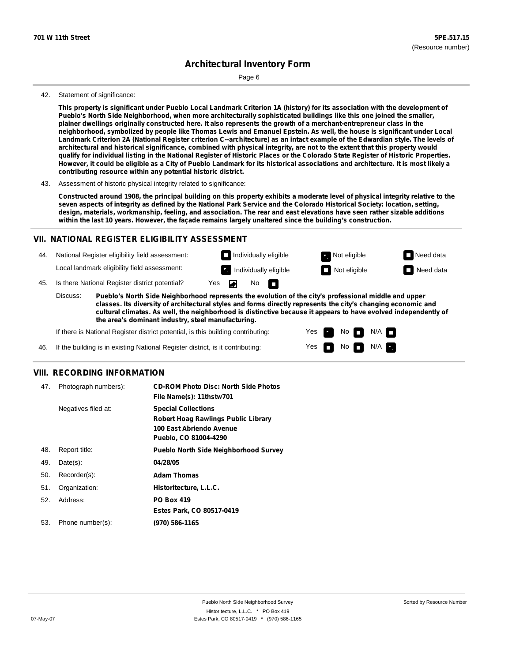Page 6

#### 42. Statement of significance:

This property is significant under Pueblo Local Landmark Criterion 1A (history) for its association with the development of **Pueblo's North Side Neighborhood, when more architecturally sophisticated buildings like this one joined the smaller,** plainer dwellings originally constructed here. It also represents the growth of a merchant-entrepreneur class in the neighborhood, symbolized by people like Thomas Lewis and Emanuel Epstein. As well, the house is significant under Local Landmark Criterion 2A (National Register criterion C--architecture) as an intact example of the Edwardian style. The levels of architectural and historical significance, combined with physical integrity, are not to the extent that this property would qualify for individual listing in the National Register of Historic Places or the Colorado State Register of Historic Properties. However, it could be eligible as a City of Pueblo Landmark for its historical associations and architecture. It is most likely a **contributing resource within any potential historic district.**

#### 43. Assessment of historic physical integrity related to significance:

Constructed around 1908, the principal building on this property exhibits a moderate level of physical integrity relative to the seven aspects of integrity as defined by the National Park Service and the Colorado Historical Society: location, setting, design, materials, workmanship, feeling, and association. The rear and east elevations have seen rather sizable additions **within the last 10 years. However, the façade remains largely unaltered since the building's construction.**

#### **VII. NATIONAL REGISTER ELIGIBILITY ASSESSMENT**

44. National Register eligibility field assessment: Local landmark eligibility field assessment:

 $\blacksquare$  Individually eligible  $\blacksquare$  Not eligible  $\blacksquare$  Need data No IT.



45. Is there National Register district potential? Yes ◚

**Pueblo's North Side Neighborhood represents the evolution of the city's professional middle and upper classes. Its diversity of architectural styles and forms directly represents the city's changing economic and cultural climates. As well, the neighborhood is distinctive because it appears to have evolved independently of the area's dominant industry, steel manufacturing.** Discuss:

> Yes Yes

No

 $No$   $M/A$ 

N/A

If there is National Register district potential, is this building contributing:

If the building is in existing National Register district, is it contributing: 46.

## **VIII. RECORDING INFORMATION**

| 47. | Photograph numbers): | <b>CD-ROM Photo Disc: North Side Photos</b><br>File Name(s): 11thstw701                                                       |
|-----|----------------------|-------------------------------------------------------------------------------------------------------------------------------|
|     | Negatives filed at:  | <b>Special Collections</b><br><b>Robert Hoag Rawlings Public Library</b><br>100 East Abriendo Avenue<br>Pueblo, CO 81004-4290 |
| 48. | Report title:        | <b>Pueblo North Side Neighborhood Survey</b>                                                                                  |
| 49. | $Date(s)$ :          | 04/28/05                                                                                                                      |
| 50. | Recorder(s):         | <b>Adam Thomas</b>                                                                                                            |
| 51. | Organization:        | Historitecture, L.L.C.                                                                                                        |
| 52. | Address:             | <b>PO Box 419</b>                                                                                                             |
|     |                      | Estes Park, CO 80517-0419                                                                                                     |
| 53. | Phone number(s):     | (970) 586-1165                                                                                                                |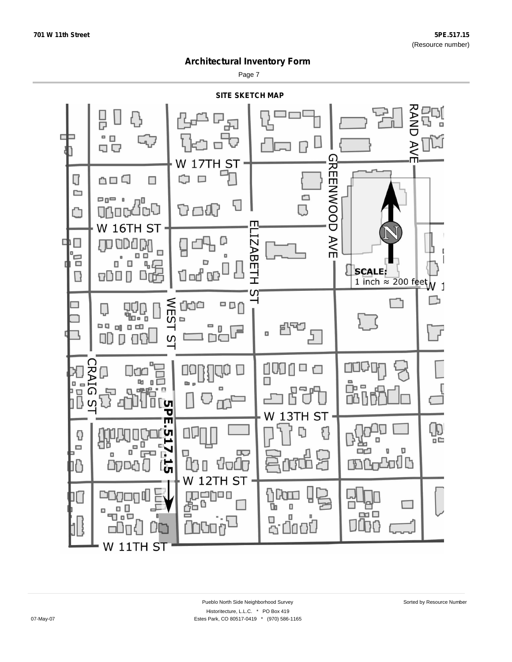Page 7